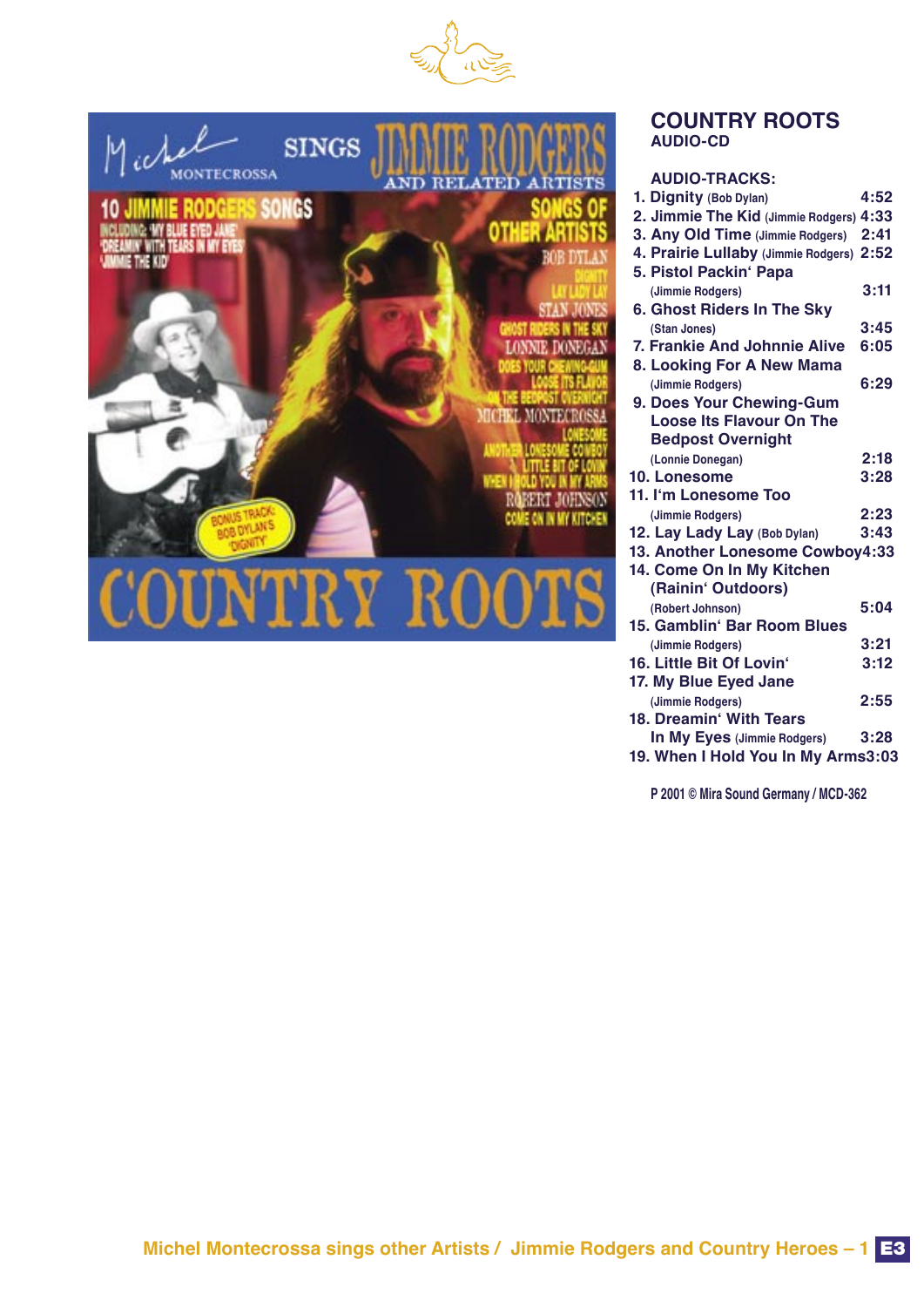



## **COUNTRY ROOTS AUDIO-CD**

|  | <b>AUDIO-TRACKS:</b> |
|--|----------------------|
|--|----------------------|

| 1. Dignity (Bob Dylan)                  | 4:52 |
|-----------------------------------------|------|
| 2. Jimmie The Kid (Jimmie Rodgers) 4:33 |      |
| 3. Any Old Time (Jimmie Rodgers)        | 2:41 |
| 4. Prairie Lullaby (Jimmie Rodgers)     | 2:52 |
| 5. Pistol Packin' Papa                  |      |
| (Jimmie Rodgers)                        | 3:11 |
| 6. Ghost Riders In The Sky              |      |
| (Stan Jones)                            | 3:45 |
| 7. Frankie And Johnnie Alive            | 6:05 |
| 8. Looking For A New Mama               |      |
| (Jimmie Rodgers)                        | 6:29 |
| 9. Does Your Chewing-Gum                |      |
| <b>Loose Its Flavour On The</b>         |      |
| <b>Bedpost Overnight</b>                |      |
| (Lonnie Donegan)                        | 2:18 |
| 10. Lonesome                            | 3:28 |
| 11. I'm Lonesome Too                    |      |
| (Jimmie Rodgers)                        | 2:23 |
| 12. Lay Lady Lay (Bob Dylan)            | 3:43 |
| 13. Another Lonesome Cowboy4:33         |      |
| 14. Come On In My Kitchen               |      |
| (Rainin' Outdoors)                      |      |
| (Robert Johnson)                        | 5:04 |
| 15. Gamblin' Bar Room Blues             |      |
| (Jimmie Rodgers)                        | 3:21 |
| 16. Little Bit Of Lovin'                | 3:12 |
| 17. My Blue Eyed Jane                   |      |
| (Jimmie Rodgers)                        | 2:55 |
| 18. Dreamin' With Tears                 |      |
| In My Eyes (Jimmie Rodgers)             | 3:28 |
| 19. When I Hold You In My Arms3:03      |      |
|                                         |      |

**P 2001 © Mira Sound Germany / MCD-362**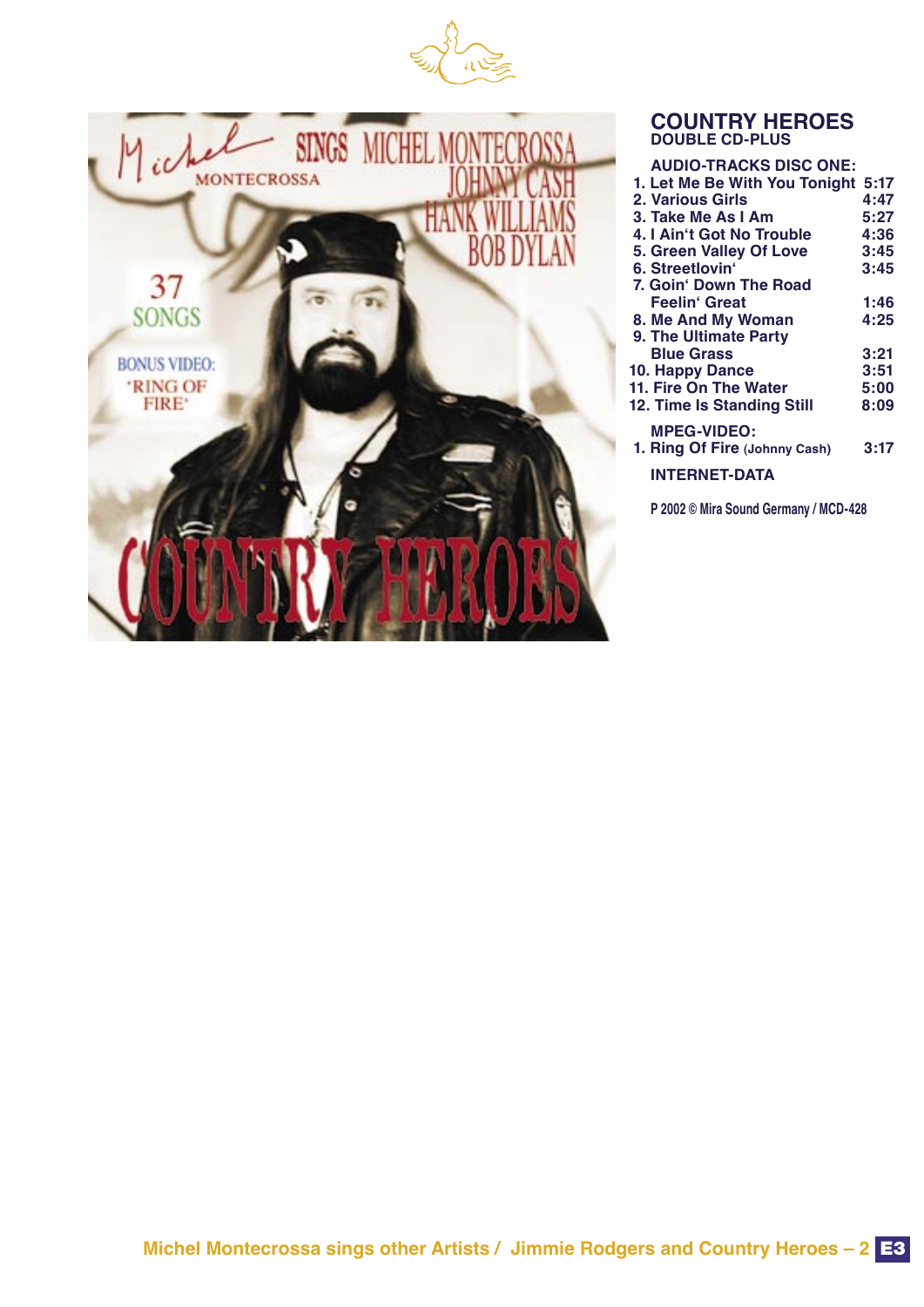



## **COUNTRY HEROES DOUBLE CD-PLUS**

| <b>AUDIO-TRACKS DISC ONE:</b> |         |
|-------------------------------|---------|
| 1. Let Me Be With You Tonight | $-5:17$ |
| 2. Various Girls              | 4:47    |
| 3. Take Me As I Am            | 5:27    |
| 4. I Ain't Got No Trouble     | 4:36    |
| 5. Green Valley Of Love       | 3:45    |
| 6. Streetlovin'               | 3:45    |
| 7. Goin' Down The Road        |         |
| Feelin' Great                 | 1:46    |
| 8. Me And My Woman            | 4:25    |
| 9. The Ultimate Party         |         |
| <b>Blue Grass</b>             | 3:21    |
| 10. Happy Dance               | 3:51    |
| 11. Fire On The Water         | 5:00    |
| 12. Time Is Standing Still    | 8:09    |
| <b>MPEG-VIDEO:</b>            |         |
| 1. Ring Of Fire (Johnny Cash) | 3:17    |
|                               |         |
| <b>INTERNET-DATA</b>          |         |
|                               |         |

**P 2002 © Mira Sound Germany / MCD-428**